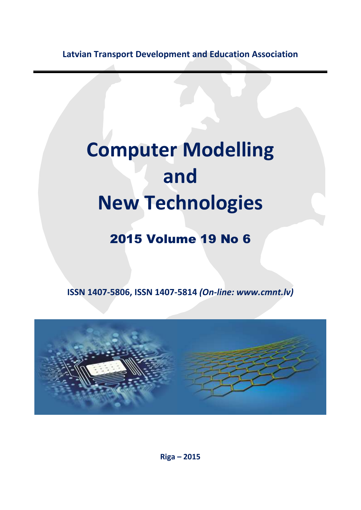**Latvian Transport Development and Education Association**

## **Computer Modelling and New Technologies**

## 2015 Volume 19 No 6

**ISSN 1407-5806, ISSN 1407-5814** *(On-line: www.cmnt.lv)*



**Riga – 2015**